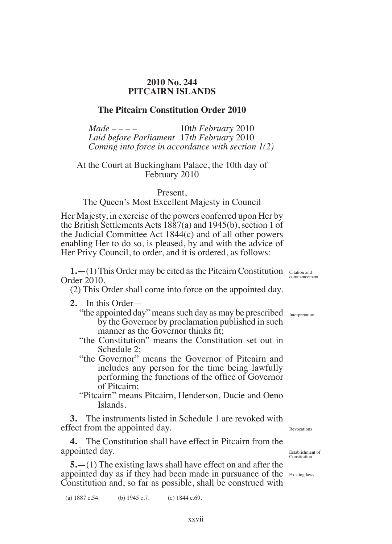## **2010 No. 244 PITCAIRN ISLANDS**

# **The Pitcairn Constitution Order 2010**

*Made – – – –* 10t*h February* 2010 *Laid before Parliament* 17*th February* 2010 *Coming into force in accordance with section 1(2)*

## At the Court at Buckingham Palace, the 10th day of February 2010

Present,

# The Queen's Most Excellent Majesty in Council

Her Majesty, in exercise of the powers conferred upon Her by the British Settlements Acts 1887(a) and 1945(b), section 1 of the Judicial Committee Act 1844(c) and of all other powers enabling Her to do so, is pleased, by and with the advice of Her Privy Council, to order, and it is ordered, as follows:

**1.** - (1) This Order may be cited as the Pitcairn Constitution Citation and Order 2010.

(2) This Order shall come into force on the appointed day.

- **2.** In this Order—
	- "the appointed day" means such day as may be prescribed Interpretation by the Governor by proclamation published in such manner as the Governor thinks fit:
	- "the Constitution" means the Constitution set out in Schedule 2;
	- "the Governor" means the Governor of Pitcairn and includes any person for the time being lawfully performing the functions of the ofice of Governor of Pitcairn;
	- "Pitcairn" means Pitcairn, Henderson, Ducie and Oeno Islands.

**3.** The instruments listed in Schedule 1 are revoked with effect from the appointed day.

**4.** The Constitution shall have effect in Pitcairn from the appointed day.

**5.—**(1) The existing laws shall have effect on and after the appointed day as if they had been made in pursuance of the Existing laws Constitution and, so far as possible, shall be construed with

(a) 1887 c.54. (b) 1945 c.7. (c) 1844 c.69.

commencement

Revocations

Establishment of Constitution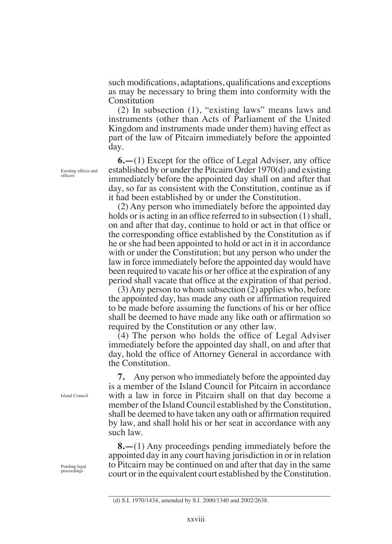such modifications, adaptations, qualifications and exceptions as may be necessary to bring them into conformity with the Constitution

(2) In subsection (1), "existing laws" means laws and instruments (other than Acts of Parliament of the United Kingdom and instruments made under them) having effect as part of the law of Pitcairn immediately before the appointed day.

**6.—**(1) Except for the ofice of Legal Adviser, any ofice established by or under the Pitcairn Order 1970(d) and existing immediately before the appointed day shall on and after that day, so far as consistent with the Constitution, continue as if it had been established by or under the Constitution.

(2) Any person who immediately before the appointed day holds or is acting in an office referred to in subsection (1) shall, on and after that day, continue to hold or act in that ofice or the corresponding ofice established by the Constitution as if he or she had been appointed to hold or act in it in accordance with or under the Constitution; but any person who under the law in force immediately before the appointed day would have been required to vacate his or her ofice at the expiration of any period shall vacate that ofice at the expiration of that period.

(3) Any person to whom subsection (2) applies who, before the appointed day, has made any oath or afirmation required to be made before assuming the functions of his or her ofice shall be deemed to have made any like oath or afirmation so required by the Constitution or any other law.

(4) The person who holds the ofice of Legal Adviser immediately before the appointed day shall, on and after that day, hold the ofice of Attorney General in accordance with the Constitution.

**7.** Any person who immediately before the appointed day is a member of the Island Council for Pitcairn in accordance with a law in force in Pitcairn shall on that day become a member of the Island Council established by the Constitution, shall be deemed to have taken any oath or afirmation required by law, and shall hold his or her seat in accordance with any such law.

**8.—**(1) Any proceedings pending immediately before the appointed day in any court having jurisdiction in or in relation to Pitcairn may be continued on and after that day in the same court or in the equivalent court established by the Constitution.

Existing ofices and oficers

Island Council

Pending legal proceedings

<sup>(</sup>d) S.I. 1970/1434, amended by S.I. 2000/1340 and 2002/2638.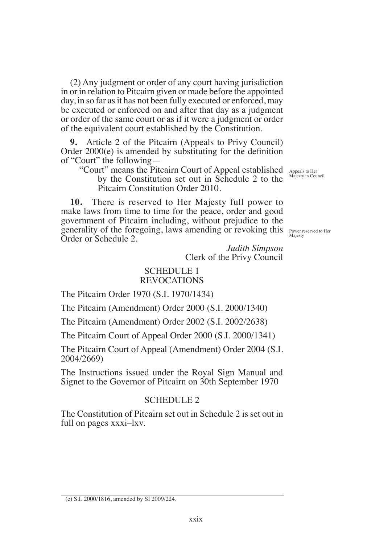(2) Any judgment or order of any court having jurisdiction in or in relation to Pitcairn given or made before the appointed day, in so far as it has not been fully executed or enforced, may be executed or enforced on and after that day as a judgment or order of the same court or as if it were a judgment or order of the equivalent court established by the Constitution.

**9.** Article 2 of the Pitcairn (Appeals to Privy Council) Order  $2000(e)$  is amended by substituting for the definition of "Court" the following—

"Court" means the Pitcairn Court of Appeal established by the Constitution set out in Schedule 2 to the Pitcairn Constitution Order 2010.

Appeals to Her Majesty in Council

Power reserved to Her Majesty

**10.** There is reserved to Her Majesty full power to make laws from time to time for the peace, order and good government of Pitcairn including, without prejudice to the generality of the foregoing, laws amending or revoking this Order or Schedule 2.

> *Judith Simpson* Clerk of the Privy Council

#### SCHEDULE 1 REVOCATIONS

The Pitcairn Order 1970 (S.I. 1970/1434)

The Pitcairn (Amendment) Order 2000 (S.I. 2000/1340)

The Pitcairn (Amendment) Order 2002 (S.I. 2002/2638)

The Pitcairn Court of Appeal Order 2000 (S.I. 2000/1341)

The Pitcairn Court of Appeal (Amendment) Order 2004 (S.I. 2004/2669)

The Instructions issued under the Royal Sign Manual and Signet to the Governor of Pitcairn on 30th September 1970

### SCHEDULE 2

The Constitution of Pitcairn set out in Schedule 2 is set out in full on pages xxxi–lxv.

<sup>(</sup>e) S.I. 2000/1816, amended by SI 2009/224.